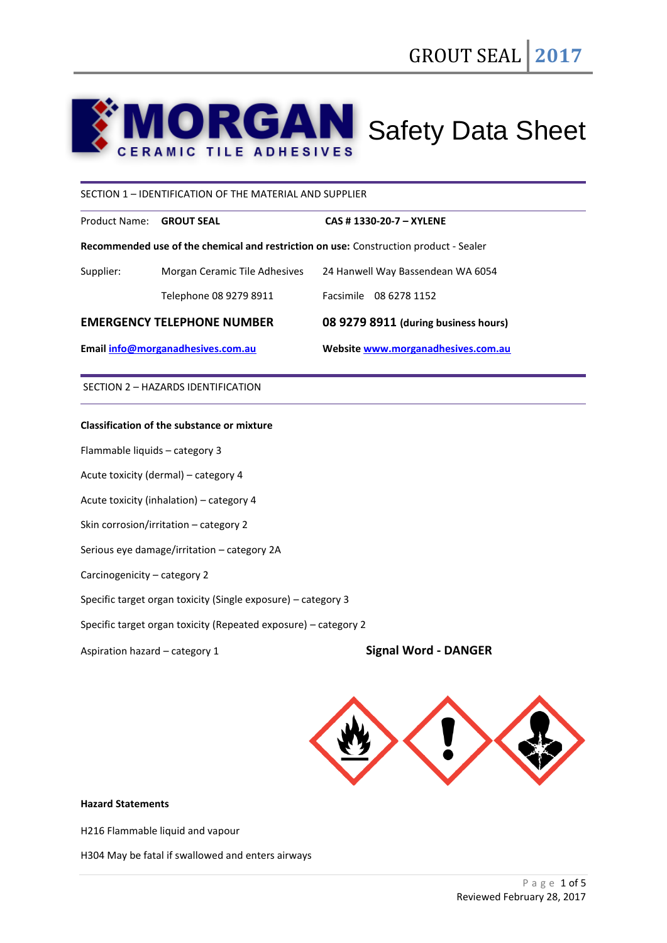# **RGAN** Safety Data Sheet **ERAMIC TILE ADHESIVES**

#### SECTION 1 – IDENTIFICATION OF THE MATERIAL AND SUPPLIER

Product Name: **GROUT SEAL CAS # 1330-20-7 – XYLENE**

**Recommended use of the chemical and restriction on use:** Construction product - Sealer

| Email info@morganadhesives.com.au |                               | Website www.morganadhesives.com.au   |  |
|-----------------------------------|-------------------------------|--------------------------------------|--|
| <b>EMERGENCY TELEPHONE NUMBER</b> |                               | 08 9279 8911 (during business hours) |  |
|                                   | Telephone 08 9279 8911        | Facsimile 08 6278 1152               |  |
| Supplier:                         | Morgan Ceramic Tile Adhesives | 24 Hanwell Way Bassendean WA 6054    |  |

SECTION 2 – HAZARDS IDENTIFICATION

## **Classification of the substance or mixture**

Flammable liquids – category 3

Acute toxicity (dermal) – category 4

Acute toxicity (inhalation) – category 4

Skin corrosion/irritation – category 2

Serious eye damage/irritation – category 2A

Carcinogenicity – category 2

Specific target organ toxicity (Single exposure) – category 3

Specific target organ toxicity (Repeated exposure) – category 2

Aspiration hazard – category 1 **Signal Word - DANGER**



#### **Hazard Statements**

H216 Flammable liquid and vapour

H304 May be fatal if swallowed and enters airways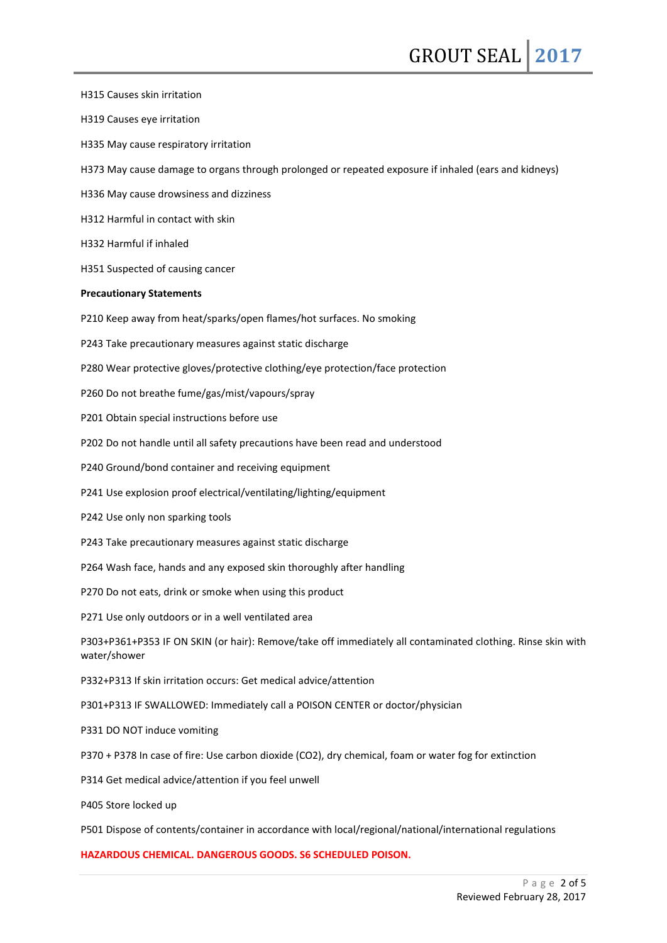H315 Causes skin irritation H319 Causes eye irritation H335 May cause respiratory irritation H373 May cause damage to organs through prolonged or repeated exposure if inhaled (ears and kidneys) H336 May cause drowsiness and dizziness H312 Harmful in contact with skin H332 Harmful if inhaled H351 Suspected of causing cancer **Precautionary Statements** P210 Keep away from heat/sparks/open flames/hot surfaces. No smoking P243 Take precautionary measures against static discharge P280 Wear protective gloves/protective clothing/eye protection/face protection P260 Do not breathe fume/gas/mist/vapours/spray P201 Obtain special instructions before use P202 Do not handle until all safety precautions have been read and understood P240 Ground/bond container and receiving equipment P241 Use explosion proof electrical/ventilating/lighting/equipment P242 Use only non sparking tools P243 Take precautionary measures against static discharge P264 Wash face, hands and any exposed skin thoroughly after handling P270 Do not eats, drink or smoke when using this product P271 Use only outdoors or in a well ventilated area P303+P361+P353 IF ON SKIN (or hair): Remove/take off immediately all contaminated clothing. Rinse skin with water/shower P332+P313 If skin irritation occurs: Get medical advice/attention P301+P313 IF SWALLOWED: Immediately call a POISON CENTER or doctor/physician P331 DO NOT induce vomiting P370 + P378 In case of fire: Use carbon dioxide (CO2), dry chemical, foam or water fog for extinction P314 Get medical advice/attention if you feel unwell P405 Store locked up P501 Dispose of contents/container in accordance with local/regional/national/international regulations **HAZARDOUS CHEMICAL. DANGEROUS GOODS. S6 SCHEDULED POISON.**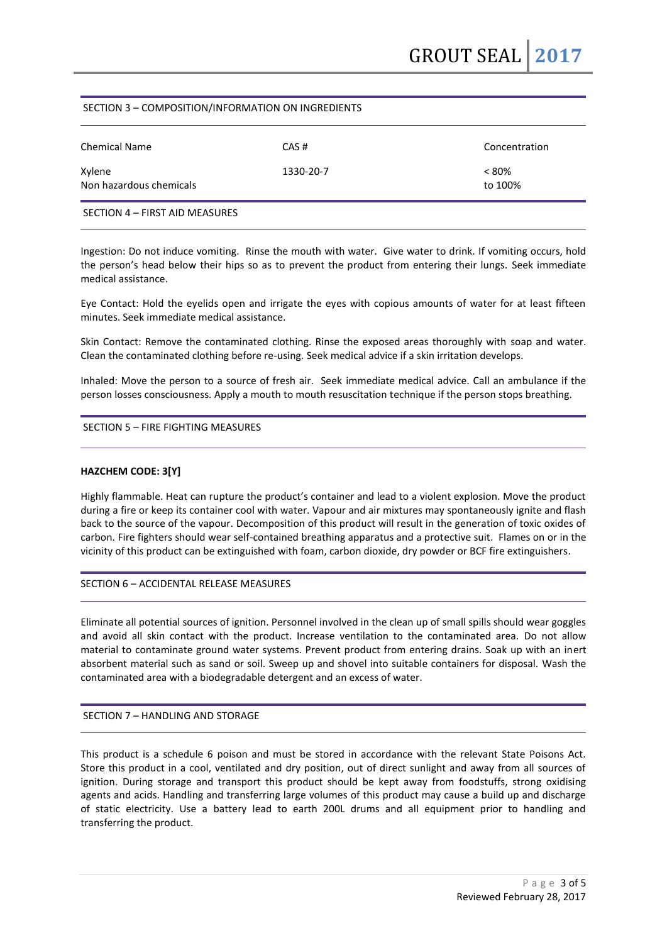## SECTION 3 – COMPOSITION/INFORMATION ON INGREDIENTS

| <b>Chemical Name</b>              | CAS#      | Concentration       |
|-----------------------------------|-----------|---------------------|
| Xylene<br>Non hazardous chemicals | 1330-20-7 | $< 80\%$<br>to 100% |
| SECTION 4 - FIRST AID MEASURES    |           |                     |

Ingestion: Do not induce vomiting. Rinse the mouth with water. Give water to drink. If vomiting occurs, hold the person's head below their hips so as to prevent the product from entering their lungs. Seek immediate medical assistance.

Eye Contact: Hold the eyelids open and irrigate the eyes with copious amounts of water for at least fifteen minutes. Seek immediate medical assistance.

Skin Contact: Remove the contaminated clothing. Rinse the exposed areas thoroughly with soap and water. Clean the contaminated clothing before re-using. Seek medical advice if a skin irritation develops.

Inhaled: Move the person to a source of fresh air. Seek immediate medical advice. Call an ambulance if the person losses consciousness. Apply a mouth to mouth resuscitation technique if the person stops breathing.

#### SECTION 5 – FIRE FIGHTING MEASURES

#### **HAZCHEM CODE: 3[Y]**

Highly flammable. Heat can rupture the product's container and lead to a violent explosion. Move the product during a fire or keep its container cool with water. Vapour and air mixtures may spontaneously ignite and flash back to the source of the vapour. Decomposition of this product will result in the generation of toxic oxides of carbon. Fire fighters should wear self-contained breathing apparatus and a protective suit. Flames on or in the vicinity of this product can be extinguished with foam, carbon dioxide, dry powder or BCF fire extinguishers.

#### SECTION 6 – ACCIDENTAL RELEASE MEASURES

Eliminate all potential sources of ignition. Personnel involved in the clean up of small spills should wear goggles and avoid all skin contact with the product. Increase ventilation to the contaminated area. Do not allow material to contaminate ground water systems. Prevent product from entering drains. Soak up with an inert absorbent material such as sand or soil. Sweep up and shovel into suitable containers for disposal. Wash the contaminated area with a biodegradable detergent and an excess of water.

#### SECTION 7 – HANDLING AND STORAGE

This product is a schedule 6 poison and must be stored in accordance with the relevant State Poisons Act. Store this product in a cool, ventilated and dry position, out of direct sunlight and away from all sources of ignition. During storage and transport this product should be kept away from foodstuffs, strong oxidising agents and acids. Handling and transferring large volumes of this product may cause a build up and discharge of static electricity. Use a battery lead to earth 200L drums and all equipment prior to handling and transferring the product.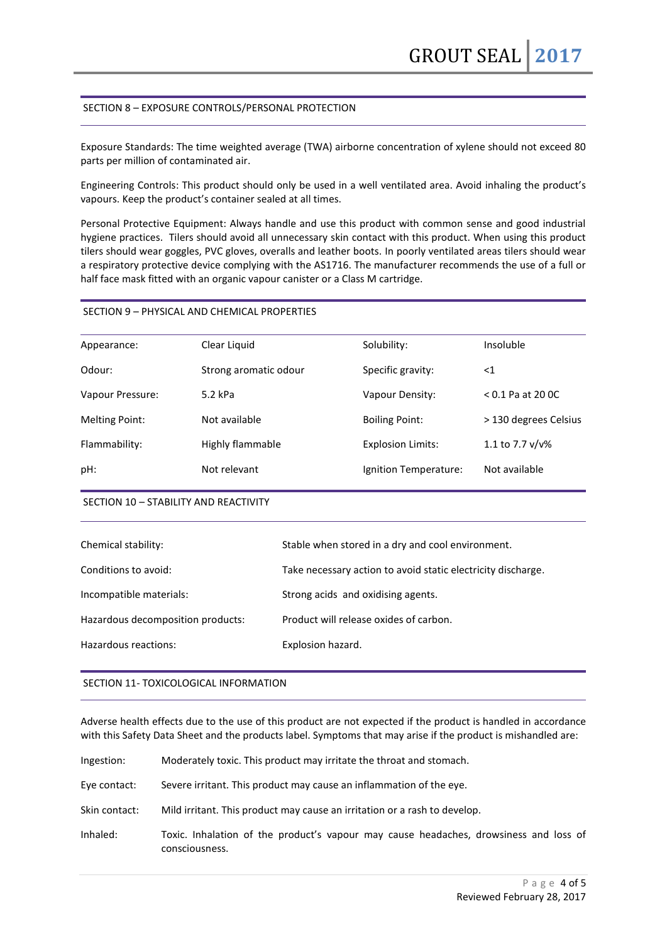### SECTION 8 – EXPOSURE CONTROLS/PERSONAL PROTECTION

Exposure Standards: The time weighted average (TWA) airborne concentration of xylene should not exceed 80 parts per million of contaminated air.

Engineering Controls: This product should only be used in a well ventilated area. Avoid inhaling the product's vapours. Keep the product's container sealed at all times.

Personal Protective Equipment: Always handle and use this product with common sense and good industrial hygiene practices. Tilers should avoid all unnecessary skin contact with this product. When using this product tilers should wear goggles, PVC gloves, overalls and leather boots. In poorly ventilated areas tilers should wear a respiratory protective device complying with the AS1716. The manufacturer recommends the use of a full or half face mask fitted with an organic vapour canister or a Class M cartridge.

#### SECTION 9 – PHYSICAL AND CHEMICAL PROPERTIES

| Appearance:           | Clear Liquid          | Solubility:              | Insoluble             |
|-----------------------|-----------------------|--------------------------|-----------------------|
| Odour:                | Strong aromatic odour | Specific gravity:        | $<$ 1                 |
| Vapour Pressure:      | $5.2$ kPa             | Vapour Density:          | $< 0.1$ Pa at 20 0C   |
| <b>Melting Point:</b> | Not available         | <b>Boiling Point:</b>    | > 130 degrees Celsius |
| Flammability:         | Highly flammable      | <b>Explosion Limits:</b> | 1.1 to 7.7 $v/v\%$    |
| pH:                   | Not relevant          | Ignition Temperature:    | Not available         |
|                       |                       |                          |                       |

#### SECTION 10 – STABILITY AND REACTIVITY

| Chemical stability:               | Stable when stored in a dry and cool environment.            |
|-----------------------------------|--------------------------------------------------------------|
| Conditions to avoid:              | Take necessary action to avoid static electricity discharge. |
| Incompatible materials:           | Strong acids and oxidising agents.                           |
| Hazardous decomposition products: | Product will release oxides of carbon.                       |
| Hazardous reactions:              | Explosion hazard.                                            |
|                                   |                                                              |

#### SECTION 11- TOXICOLOGICAL INFORMATION

Adverse health effects due to the use of this product are not expected if the product is handled in accordance with this Safety Data Sheet and the products label. Symptoms that may arise if the product is mishandled are:

| Ingestion:    | Moderately toxic. This product may irritate the throat and stomach.                                     |
|---------------|---------------------------------------------------------------------------------------------------------|
| Eye contact:  | Severe irritant. This product may cause an inflammation of the eye.                                     |
| Skin contact: | Mild irritant. This product may cause an irritation or a rash to develop.                               |
| Inhaled:      | Toxic. Inhalation of the product's vapour may cause headaches, drowsiness and loss of<br>consciousness. |